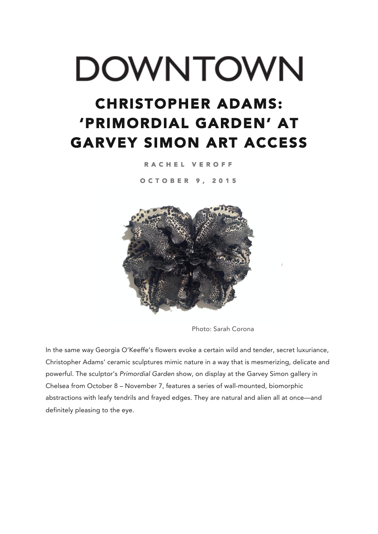## DOWNTOWN

## CHRISTOPHER ADAMS: 'PRIMORDIAL GARDEN' AT GARVEY SIMON ART ACCESS

RACHEL VEROFF

OCTOBER 9, 2015



Photo: Sarah Corona

In the same way Georgia O'Keeffe's flowers evoke a certain wild and tender, secret luxuriance, Christopher Adams' ceramic sculptures mimic nature in a way that is mesmerizing, delicate and powerful. The sculptor's *Primordial Garden* show, on display at the Garvey Simon gallery in Chelsea from October 8 – November 7, features a series of wall-mounted, biomorphic abstractions with leafy tendrils and frayed edges. They are natural and alien all at once—and definitely pleasing to the eye.